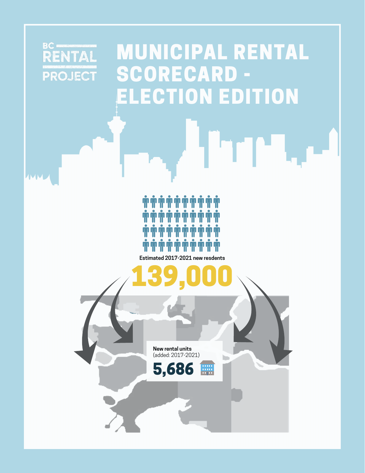### BC NTAL PROJECT

**AMM** 

### MUNICIPAL RENTAL SCORECARD -ELECTION EDITION

rie



**Estimated 2017-2021 new resdents** 

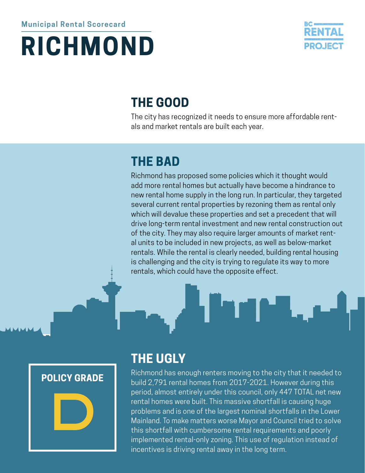# **RICHMOND**



### **THE GOOD**

The city has recognized it needs to ensure more affordable rentals and market rentals are built each year.

### **THE BAD**

Richmond has proposed some policies which it thought would add more rental homes but actually have become a hindrance to new rental home supply in the long run. In particular, they targeted several current rental properties by rezoning them as rental only which will devalue these properties and set a precedent that will drive long-term rental investment and new rental construction out of the city. They may also require larger amounts of market rental units to be included in new projects, as well as below-market rentals. While the rental is clearly needed, building rental housing is challenging and the city is trying to regulate its way to more rentals, which could have the opposite effect.





#### **THE UGLY**

Richmond has enough renters moving to the city that it needed to build 2,791 rental homes from 2017-2021. However during this period, almost entirely under this council, only 447 TOTAL net new rental homes were built. This massive shortfall is causing huge problems and is one of the largest nominal shortfalls in the Lower Mainland. To make matters worse Mayor and Council tried to solve this shortfall with cumbersome rental requirements and poorly implemented rental-only zoning. This use of regulation instead of incentives is driving rental away in the long term.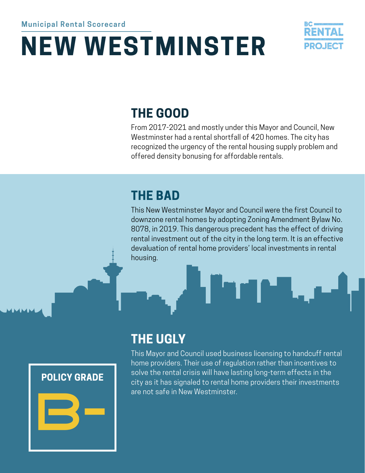## **NEW WESTMINSTER**



### **THE GOOD**

From 2017-2021 and mostly under this Mayor and Council, New Westminster had a rental shortfall of 420 homes. The city has recognized the urgency of the rental housing supply problem and offered density bonusing for affordable rentals.

### **THE BAD**

This New Westminster Mayor and Council were the first Council to downzone rental homes by adopting Zoning Amendment Bylaw No. 8078, in 2019. This dangerous precedent has the effect of driving rental investment out of the city in the long term. It is an effective devaluation of rental home providers' local investments in rental housing.





### **THE UGLY**

This Mayor and Council used business licensing to handcuff rental home providers. Their use of regulation rather than incentives to solve the rental crisis will have lasting long-term effects in the city as it has signaled to rental home providers their investments are not safe in New Westminster.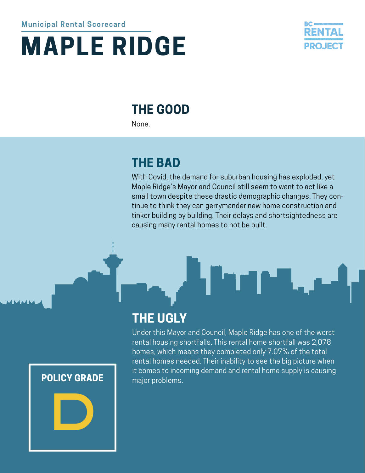# **MAPLE RIDGE**



### **THE GOOD**

None.

### **THE BAD**

**THE UGLY**

With Covid, the demand for suburban housing has exploded, yet Maple Ridge's Mayor and Council still seem to want to act like a small town despite these drastic demographic changes. They continue to think they can gerrymander new home construction and tinker building by building. Their delays and shortsightedness are causing many rental homes to not be built.

Under this Mayor and Council, Maple Ridge has one of the worst rental housing shortfalls. This rental home shortfall was 2,078 homes, which means they completed only 7.07% of the total rental homes needed. Their inability to see the big picture when it comes to incoming demand and rental home supply is causing

**POLICY GRADE** major problems.

D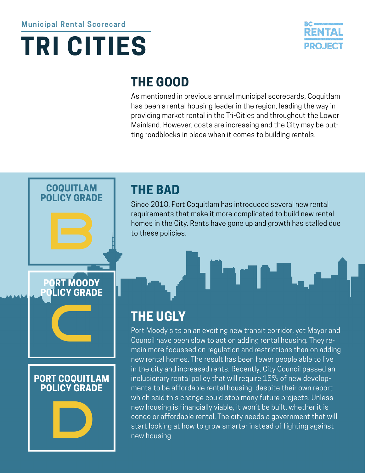



### **THE GOOD**

As mentioned in previous annual municipal scorecards, Coquitlam has been a rental housing leader in the region, leading the way in providing market rental in the Tri-Cities and throughout the Lower Mainland. However, costs are increasing and the City may be putting roadblocks in place when it comes to building rentals.

# **COQUITLAM POLICY GRADE PORT MOODY POLICY GRADE** C **PORT COQUITLAM POLICY GRADE** D

#### **THE BAD**

Since 2018, Port Coquitlam has introduced several new rental requirements that make it more complicated to build new rental homes in the City. Rents have gone up and growth has stalled due to these policies.

### **THE UGLY**

Port Moody sits on an exciting new transit corridor, yet Mayor and Council have been slow to act on adding rental housing. They remain more focussed on regulation and restrictions than on adding new rental homes. The result has been fewer people able to live in the city and increased rents. Recently, City Council passed an inclusionary rental policy that will require 15% of new developments to be affordable rental housing, despite their own report which said this change could stop many future projects. Unless new housing is financially viable, it won't be built, whether it is condo or affordable rental. The city needs a government that will start looking at how to grow smarter instead of fighting against new housing.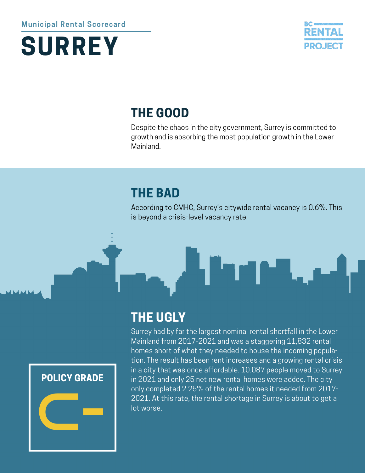#### **Municipal Rental Scorecard**





### **THE GOOD**

Despite the chaos in the city government, Surrey is committed to growth and is absorbing the most population growth in the Lower Mainland.

### **THE BAD**

According to CMHC, Surrey's citywide rental vacancy is 0.6%. This is beyond a crisis-level vacancy rate.





#### **THE UGLY**

Surrey had by far the largest nominal rental shortfall in the Lower Mainland from 2017-2021 and was a staggering 11,832 rental homes short of what they needed to house the incoming population. The result has been rent increases and a growing rental crisis in a city that was once affordable. 10,087 people moved to Surrey in 2021 and only 25 net new rental homes were added. The city only completed 2.25% of the rental homes it needed from 2017- 2021. At this rate, the rental shortage in Surrey is about to get a lot worse.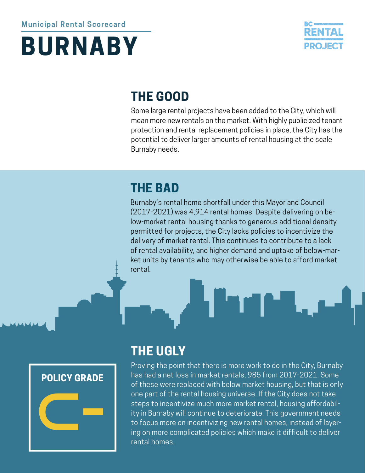### **BURNABY**



### **THE GOOD**

Some large rental projects have been added to the City, which will mean more new rentals on the market. With highly publicized tenant protection and rental replacement policies in place, the City has the potential to deliver larger amounts of rental housing at the scale Burnaby needs.

### **THE BAD**

Burnaby's rental home shortfall under this Mayor and Council (2017-2021) was 4,914 rental homes. Despite delivering on below-market rental housing thanks to generous additional density permitted for projects, the City lacks policies to incentivize the delivery of market rental. This continues to contribute to a lack of rental availability, and higher demand and uptake of below-market units by tenants who may otherwise be able to afford market rental.



### **THE UGLY**

Proving the point that there is more work to do in the City, Burnaby has had a net loss in market rentals, 985 from 2017-2021. Some of these were replaced with below market housing, but that is only one part of the rental housing universe. If the City does not take steps to incentivize much more market rental, housing affordability in Burnaby will continue to deteriorate. This government needs to focus more on incentivizing new rental homes, instead of layering on more complicated policies which make it difficult to deliver rental homes.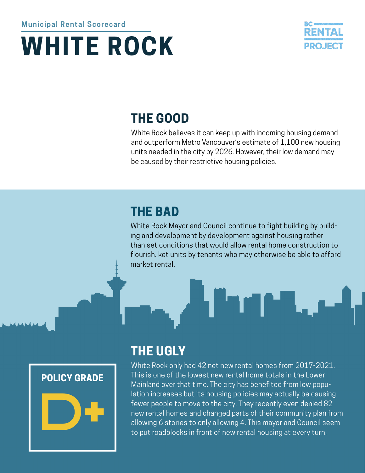# **WHITE ROCK**



### **THE GOOD**

White Rock believes it can keep up with incoming housing demand and outperform Metro Vancouver's estimate of 1,100 new housing units needed in the city by 2026. However, their low demand may be caused by their restrictive housing policies.

### **THE BAD**

White Rock Mayor and Council continue to fight building by building and development by development against housing rather than set conditions that would allow rental home construction to flourish. ket units by tenants who may otherwise be able to afford market rental.





### **THE UGLY**

White Rock only had 42 net new rental homes from 2017-2021. This is one of the lowest new rental home totals in the Lower Mainland over that time. The city has benefited from low population increases but its housing policies may actually be causing fewer people to move to the city. They recently even denied 82 new rental homes and changed parts of their community plan from allowing 6 stories to only allowing 4. This mayor and Council seem to put roadblocks in front of new rental housing at every turn.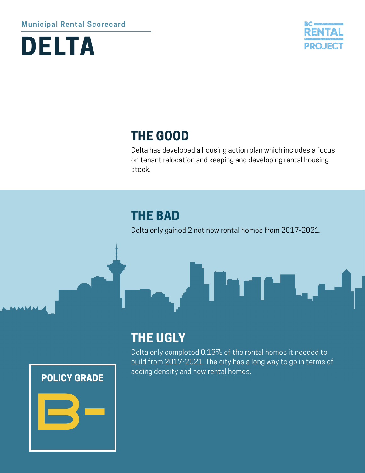#### **Municipal Rental Scorecard**





#### **THE GOOD**

Delta has developed a housing action plan which includes a focus on tenant relocation and keeping and developing rental housing stock.

#### **THE BAD**

Delta only gained 2 net new rental homes from 2017-2021.

ı.

#### **POLICY GRADE**



#### **THE UGLY**

Delta only completed 0.13% of the rental homes it needed to build from 2017-2021. The city has a long way to go in terms of adding density and new rental homes.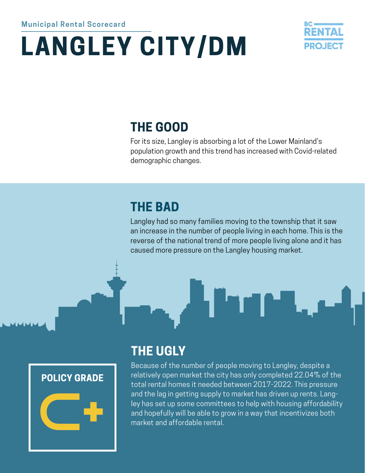# **LANGLEY CITY/DM**



### **THE GOOD**

For its size, Langley is absorbing a lot of the Lower Mainland's population growth and this trend has increased with Covid-related demographic changes.

### **THE BAD**

Langley had so many families moving to the township that it saw an increase in the number of people living in each home. This is the reverse of the national trend of more people living alone and it has caused more pressure on the Langley housing market.



### **THE UGLY**

Because of the number of people moving to Langley, despite a relatively open market the city has only completed 22.04% of the total rental homes it needed between 2017-2022. This pressure and the lag in getting supply to market has driven up rents. Langley has set up some committees to help with housing affordability and hopefully will be able to grow in a way that incentivizes both market and affordable rental.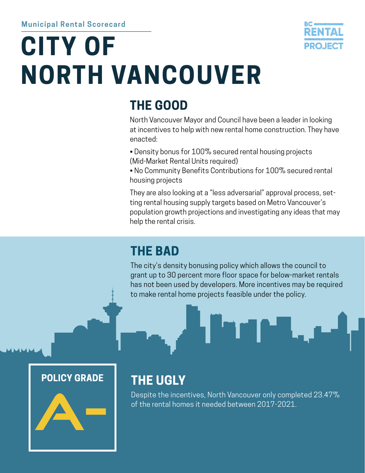# **CITY OF NORTH VANCOUVER**



### **THE GOOD**

North Vancouver Mayor and Council have been a leader in looking at incentives to help with new rental home construction. They have enacted:

- Density bonus for 100% secured rental housing projects (Mid-Market Rental Units required)
- No Community Benefits Contributions for 100% secured rental housing projects

They are also looking at a "less adversarial" approval process, setting rental housing supply targets based on Metro Vancouver's population growth projections and investigating any ideas that may help the rental crisis.

### **THE BAD**

The city's density bonusing policy which allows the council to grant up to 30 percent more floor space for below-market rentals has not been used by developers. More incentives may be required to make rental home projects feasible under the policy.

#### **POLICY GRADE**



### **THE UGLY**

Despite the incentives, North Vancouver only completed 23.47% of the rental homes it needed between 2017-2021.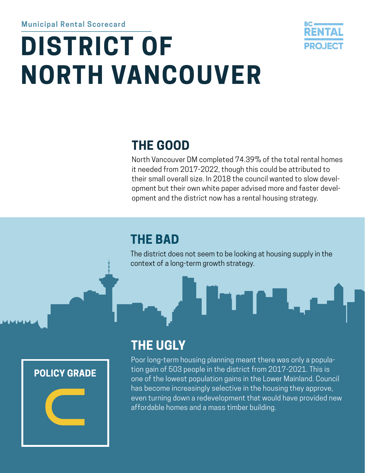# **DISTRICT OF NORTH VANCOUVER**



### **THE GOOD**

North Vancouver DM completed 74.39% of the total rental homes it needed from 2017-2022, though this could be attributed to their small overall size. In 2018 the council wanted to slow development but their own white paper advised more and faster development and the district now has a rental housing strategy.

### **THE BAD**

The district does not seem to be looking at housing supply in the context of a long-term growth strategy.



### **THE UGLY**

Poor long-term housing planning meant there was only a population gain of 503 people in the district from 2017-2021. This is one of the lowest population gains in the Lower Mainland. Council has become increasingly selective in the housing they approve, even turning down a redevelopment that would have provided new affordable homes and a mass timber building.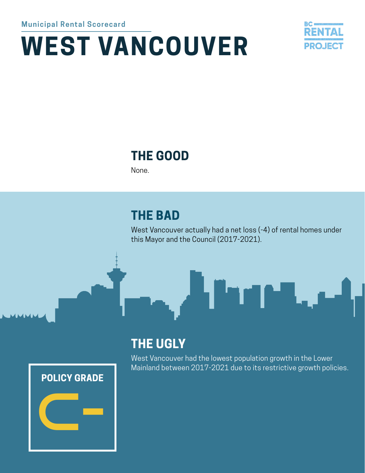# **WEST VANCOUVER**



### **THE GOOD**

None.

### **THE BAD**

West Vancouver actually had a net loss (-4) of rental homes under this Mayor and the Council (2017-2021).



### **THE UGLY**

West Vancouver had the lowest population growth in the Lower Mainland between 2017-2021 due to its restrictive growth policies.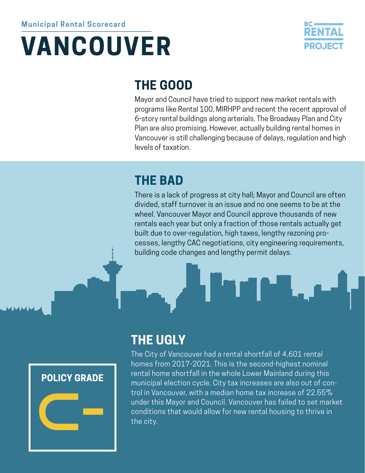## **VANCOUVER**



### **THE GOOD**

Mayor and Council have tried to support new market rentals with programs like Rental 100, MIRHPP and recent the recent approval of 6-story rental buildings along arterials. The Broadway Plan and City Plan are also promising. However, actually building rental homes in Vancouver is still challenging because of delays, regulation and high levels of taxation.

### **THE BAD**

There is a lack of progress at city hall; Mayor and Council are often divided, staff turnover is an issue and no one seems to be at the wheel. Vancouver Mayor and Council approve thousands of new rentals each year but only a fraction of those rentals actually get built due to over-regulation, high taxes, lengthy rezoning processes, lengthy CAC negotiations, city engineering requirements, building code changes and lengthy permit delays.



### **THE UGLY**

The City of Vancouver had a rental shortfall of 4,601 rental homes from 2017-2021. This is the second-highest nominal rental home shortfall in the whole Lower Mainland during this municipal election cycle. City tax increases are also out of control in Vancouver, with a median home tax increase of 22.55% under this Mayor and Council. Vancouver has failed to set market conditions that would allow for new rental housing to thrive in the city.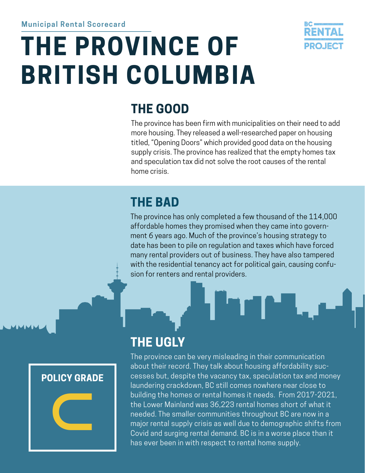# **THE PROVINCE OF BRITISH COLUMBIA**



### **THE GOOD**

The province has been firm with municipalities on their need to add more housing. They released a well-researched paper on housing titled, "Opening Doors" which provided good data on the housing supply crisis. The province has realized that the empty homes tax and speculation tax did not solve the root causes of the rental home crisis.

### **THE BAD**

**THE UGLY**

The province has only completed a few thousand of the 114,000 affordable homes they promised when they came into government 6 years ago. Much of the province's housing strategy to date has been to pile on regulation and taxes which have forced many rental providers out of business. They have also tampered with the residential tenancy act for political gain, causing confusion for renters and rental providers.

#### **POLICY GRADE**



The province can be very misleading in their communication about their record. They talk about housing affordability successes but, despite the vacancy tax, speculation tax and money laundering crackdown, BC still comes nowhere near close to building the homes or rental homes it needs. From 2017-2021, the Lower Mainland was 36,223 rental homes short of what it needed. The smaller communities throughout BC are now in a

major rental supply crisis as well due to demographic shifts from Covid and surging rental demand. BC is in a worse place than it has ever been in with respect to rental home supply.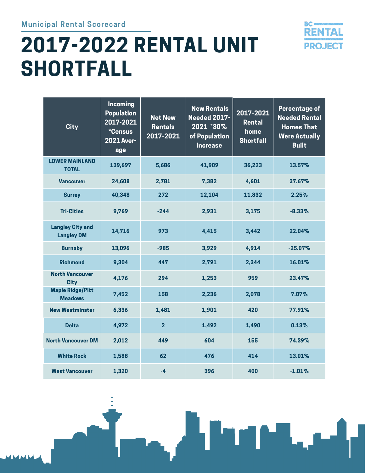#### **Municipal Rental Scorecard**

### **2017-2022 RENTAL UNIT SHORTFALL**



| <b>City</b>                                  | <b>Incoming</b><br><b>Population</b><br>2017-2021<br>*Census<br><b>2021 Aver-</b><br>age | <b>Net New</b><br><b>Rentals</b><br>2017-2021 | <b>New Rentals</b><br><b>Needed 2017-</b><br>2021 *30%<br>of Population<br><b>Increase</b> | 2017-2021<br>Rental<br>home<br><b>Shortfall</b> | <b>Percentage of</b><br><b>Needed Rental</b><br><b>Homes That</b><br><b>Were Actually</b><br><b>Built</b> |
|----------------------------------------------|------------------------------------------------------------------------------------------|-----------------------------------------------|--------------------------------------------------------------------------------------------|-------------------------------------------------|-----------------------------------------------------------------------------------------------------------|
| <b>LOWER MAINLAND</b><br><b>TOTAL</b>        | 139,697                                                                                  | 5,686                                         | 41,909                                                                                     | 36,223                                          | 13.57%                                                                                                    |
| <b>Vancouver</b>                             | 24,608                                                                                   | 2,781                                         | 7,382                                                                                      | 4,601                                           | 37.67%                                                                                                    |
| <b>Surrey</b>                                | 40,348                                                                                   | 272                                           | 12,104                                                                                     | 11.832                                          | 2.25%                                                                                                     |
| <b>Tri-Cities</b>                            | 9,769                                                                                    | $-244$                                        | 2,931                                                                                      | 3,175                                           | $-8.33%$                                                                                                  |
| <b>Langley City and</b><br><b>Langley DM</b> | 14,716                                                                                   | 973                                           | 4,415                                                                                      | 3,442                                           | 22.04%                                                                                                    |
| <b>Burnaby</b>                               | 13,096                                                                                   | $-985$                                        | 3,929                                                                                      | 4,914                                           | $-25.07%$                                                                                                 |
| <b>Richmond</b>                              | 9,304                                                                                    | 447                                           | 2,791                                                                                      | 2,344                                           | 16.01%                                                                                                    |
| <b>North Vancouver</b><br><b>City</b>        | 4,176                                                                                    | 294                                           | 1,253                                                                                      | 959                                             | 23.47%                                                                                                    |
| <b>Maple Ridge/Pitt</b><br><b>Meadows</b>    | 7,452                                                                                    | 158                                           | 2,236                                                                                      | 2,078                                           | 7.07%                                                                                                     |
| <b>New Westminster</b>                       | 6,336                                                                                    | 1,481                                         | 1,901                                                                                      | 420                                             | 77.91%                                                                                                    |
| <b>Delta</b>                                 | 4,972                                                                                    | $\overline{2}$                                | 1,492                                                                                      | 1,490                                           | 0.13%                                                                                                     |
| <b>North Vancouver DM</b>                    | 2,012                                                                                    | 449                                           | 604                                                                                        | 155                                             | 74.39%                                                                                                    |
| <b>White Rock</b>                            | 1,588                                                                                    | 62                                            | 476                                                                                        | 414                                             | 13.01%                                                                                                    |
| <b>West Vancouver</b>                        | 1,320                                                                                    | $-4$                                          | 396                                                                                        | 400                                             | $-1.01%$                                                                                                  |

Н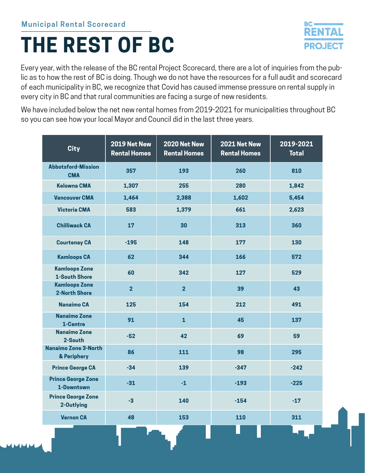### **THE REST OF BC**

Every year, with the release of the BC rental Project Scorecard, there are a lot of inquiries from the public as to how the rest of BC is doing. Though we do not have the resources for a full audit and scorecard of each municipality in BC, we recognize that Covid has caused immense pressure on rental supply in every city in BC and that rural communities are facing a surge of new residents.

We have included below the net new rental homes from 2019-2021 for municipalities throughout BC so you can see how your local Mayor and Council did in the last three years.

| <b>City</b>                                  | 2019 Net New<br><b>Rental Homes</b> | 2020 Net New<br><b>Rental Homes</b> | 2021 Net New<br><b>Rental Homes</b> | 2019-2021<br><b>Total</b> |
|----------------------------------------------|-------------------------------------|-------------------------------------|-------------------------------------|---------------------------|
| <b>Abbotsford-Mission</b><br><b>CMA</b>      | 357                                 | 193                                 | 260                                 | 810                       |
| <b>Kelowna CMA</b>                           | 1,307                               | 255                                 | 280                                 | 1,842                     |
| <b>Vancouver CMA</b>                         | 1,464                               | 2,388                               | 1,602                               | 5,454                     |
| <b>Victoria CMA</b>                          | 583                                 | 1,379                               | 661                                 | 2,623                     |
| <b>Chilliwack CA</b>                         | 17                                  | 30                                  | 313                                 | 360                       |
| <b>Courtenay CA</b>                          | $-195$                              | 148                                 | 177                                 | 130                       |
| <b>Kamloops CA</b>                           | 62                                  | 344                                 | 166                                 | 572                       |
| <b>Kamloops Zone</b><br><b>1-South Shore</b> | 60                                  | 342                                 | 127                                 | 529                       |
| <b>Kamloops Zone</b><br><b>2-North Shore</b> | $\overline{2}$                      | $\overline{2}$                      | 39                                  | 43                        |
| <b>Nanaimo CA</b>                            | 125                                 | 154                                 | 212                                 | 491                       |
| <b>Nanaimo Zone</b><br>1-Centre              | 91                                  | $\overline{1}$                      | 45                                  | 137                       |
| <b>Nanaimo Zone</b><br>2-South               | $-52$                               | 42                                  | 69                                  | 59                        |
| <b>Nanaimo Zone 3-North</b><br>& Periphery   | 86                                  | 111                                 | 98                                  | 295                       |
| <b>Prince George CA</b>                      | $-34$                               | 139                                 | $-347$                              | $-242$                    |
| <b>Prince George Zone</b><br>1-Downtown      | $-31$                               | $-1$                                | $-193$                              | $-225$                    |
| <b>Prince George Zone</b><br>2-Outlying      | $-3$                                | 140                                 | $-154$                              | $-17$                     |
| <b>Vernon CA</b>                             | 48                                  | 153                                 | 110                                 | 311                       |